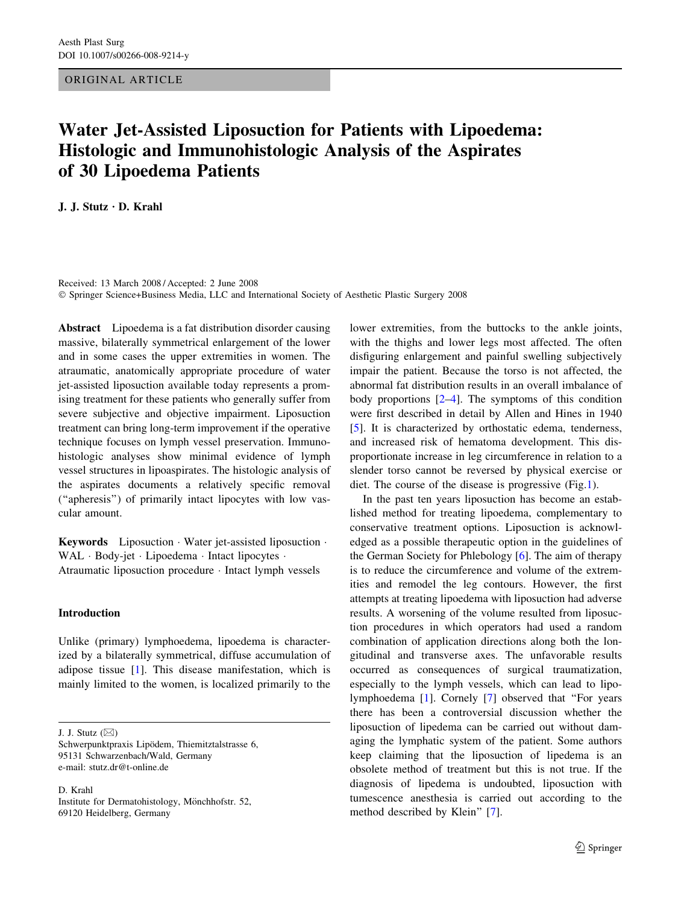ORIGINAL ARTICLE

# Water Jet-Assisted Liposuction for Patients with Lipoedema: Histologic and Immunohistologic Analysis of the Aspirates of 30 Lipoedema Patients

J. J. Stutz · D. Krahl

Received: 13 March 2008 / Accepted: 2 June 2008 Springer Science+Business Media, LLC and International Society of Aesthetic Plastic Surgery 2008

Abstract Lipoedema is a fat distribution disorder causing massive, bilaterally symmetrical enlargement of the lower and in some cases the upper extremities in women. The atraumatic, anatomically appropriate procedure of water jet-assisted liposuction available today represents a promising treatment for these patients who generally suffer from severe subjective and objective impairment. Liposuction treatment can bring long-term improvement if the operative technique focuses on lymph vessel preservation. Immunohistologic analyses show minimal evidence of lymph vessel structures in lipoaspirates. The histologic analysis of the aspirates documents a relatively specific removal (''apheresis'') of primarily intact lipocytes with low vascular amount.

**Keywords** Liposuction  $\cdot$  Water jet-assisted liposuction  $\cdot$ WAL · Body-jet · Lipoedema · Intact lipocytes · Atraumatic liposuction procedure · Intact lymph vessels

## Introduction

Unlike (primary) lymphoedema, lipoedema is characterized by a bilaterally symmetrical, diffuse accumulation of adipose tissue [[1\]](#page-8-0). This disease manifestation, which is mainly limited to the women, is localized primarily to the

J. J. Stutz  $(\boxtimes)$ 

D. Krahl Institute for Dermatohistology, Mönchhofstr. 52, 69120 Heidelberg, Germany

lower extremities, from the buttocks to the ankle joints, with the thighs and lower legs most affected. The often disfiguring enlargement and painful swelling subjectively impair the patient. Because the torso is not affected, the abnormal fat distribution results in an overall imbalance of body proportions [\[2–4](#page-8-0)]. The symptoms of this condition were first described in detail by Allen and Hines in 1940 [\[5](#page-8-0)]. It is characterized by orthostatic edema, tenderness, and increased risk of hematoma development. This disproportionate increase in leg circumference in relation to a slender torso cannot be reversed by physical exercise or diet. The course of the disease is progressive (Fig[.1](#page-1-0)).

In the past ten years liposuction has become an established method for treating lipoedema, complementary to conservative treatment options. Liposuction is acknowledged as a possible therapeutic option in the guidelines of the German Society for Phlebology [\[6](#page-8-0)]. The aim of therapy is to reduce the circumference and volume of the extremities and remodel the leg contours. However, the first attempts at treating lipoedema with liposuction had adverse results. A worsening of the volume resulted from liposuction procedures in which operators had used a random combination of application directions along both the longitudinal and transverse axes. The unfavorable results occurred as consequences of surgical traumatization, especially to the lymph vessels, which can lead to lipolymphoedema [[1\]](#page-8-0). Cornely [\[7](#page-8-0)] observed that ''For years there has been a controversial discussion whether the liposuction of lipedema can be carried out without damaging the lymphatic system of the patient. Some authors keep claiming that the liposuction of lipedema is an obsolete method of treatment but this is not true. If the diagnosis of lipedema is undoubted, liposuction with tumescence anesthesia is carried out according to the method described by Klein'' [[7\]](#page-8-0).

Schwerpunktpraxis Lipödem, Thiemitztalstrasse 6, 95131 Schwarzenbach/Wald, Germany e-mail: stutz.dr@t-online.de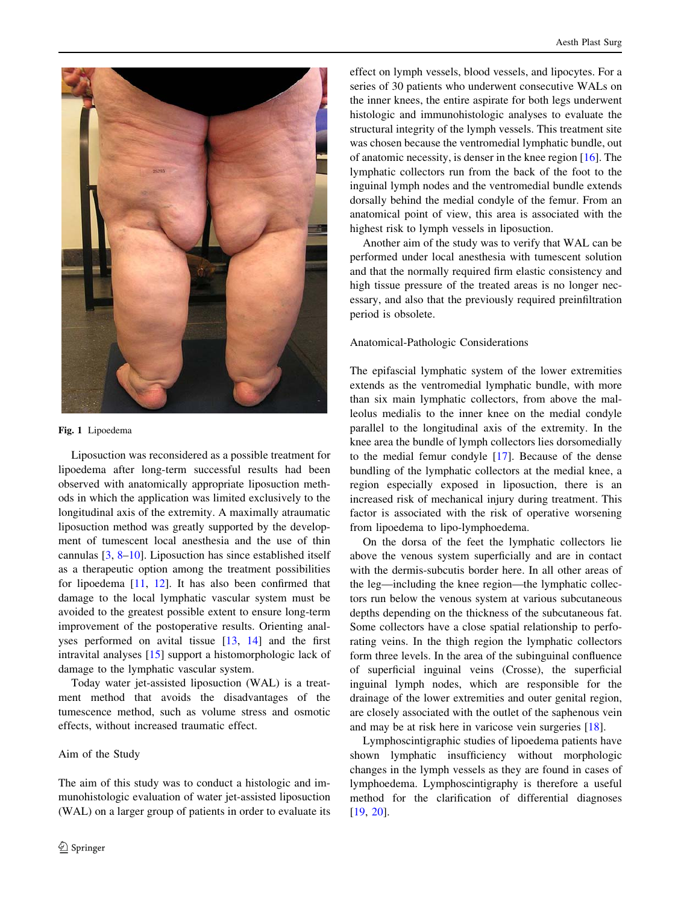<span id="page-1-0"></span>

#### Fig. 1 Lipoedema

Liposuction was reconsidered as a possible treatment for lipoedema after long-term successful results had been observed with anatomically appropriate liposuction methods in which the application was limited exclusively to the longitudinal axis of the extremity. A maximally atraumatic liposuction method was greatly supported by the development of tumescent local anesthesia and the use of thin cannulas [\[3](#page-8-0), [8–10\]](#page-8-0). Liposuction has since established itself as a therapeutic option among the treatment possibilities for lipoedema [\[11](#page-8-0), [12\]](#page-9-0). It has also been confirmed that damage to the local lymphatic vascular system must be avoided to the greatest possible extent to ensure long-term improvement of the postoperative results. Orienting analyses performed on avital tissue [[13,](#page-9-0) [14\]](#page-9-0) and the first intravital analyses [[15\]](#page-9-0) support a histomorphologic lack of damage to the lymphatic vascular system.

Today water jet-assisted liposuction (WAL) is a treatment method that avoids the disadvantages of the tumescence method, such as volume stress and osmotic effects, without increased traumatic effect.

## Aim of the Study

The aim of this study was to conduct a histologic and immunohistologic evaluation of water jet-assisted liposuction (WAL) on a larger group of patients in order to evaluate its effect on lymph vessels, blood vessels, and lipocytes. For a series of 30 patients who underwent consecutive WALs on the inner knees, the entire aspirate for both legs underwent histologic and immunohistologic analyses to evaluate the structural integrity of the lymph vessels. This treatment site was chosen because the ventromedial lymphatic bundle, out of anatomic necessity, is denser in the knee region [[16\]](#page-9-0). The lymphatic collectors run from the back of the foot to the inguinal lymph nodes and the ventromedial bundle extends dorsally behind the medial condyle of the femur. From an anatomical point of view, this area is associated with the highest risk to lymph vessels in liposuction.

Another aim of the study was to verify that WAL can be performed under local anesthesia with tumescent solution and that the normally required firm elastic consistency and high tissue pressure of the treated areas is no longer necessary, and also that the previously required preinfiltration period is obsolete.

## Anatomical-Pathologic Considerations

The epifascial lymphatic system of the lower extremities extends as the ventromedial lymphatic bundle, with more than six main lymphatic collectors, from above the malleolus medialis to the inner knee on the medial condyle parallel to the longitudinal axis of the extremity. In the knee area the bundle of lymph collectors lies dorsomedially to the medial femur condyle [\[17](#page-9-0)]. Because of the dense bundling of the lymphatic collectors at the medial knee, a region especially exposed in liposuction, there is an increased risk of mechanical injury during treatment. This factor is associated with the risk of operative worsening from lipoedema to lipo-lymphoedema.

On the dorsa of the feet the lymphatic collectors lie above the venous system superficially and are in contact with the dermis-subcutis border here. In all other areas of the leg—including the knee region—the lymphatic collectors run below the venous system at various subcutaneous depths depending on the thickness of the subcutaneous fat. Some collectors have a close spatial relationship to perforating veins. In the thigh region the lymphatic collectors form three levels. In the area of the subinguinal confluence of superficial inguinal veins (Crosse), the superficial inguinal lymph nodes, which are responsible for the drainage of the lower extremities and outer genital region, are closely associated with the outlet of the saphenous vein and may be at risk here in varicose vein surgeries [[18\]](#page-9-0).

Lymphoscintigraphic studies of lipoedema patients have shown lymphatic insufficiency without morphologic changes in the lymph vessels as they are found in cases of lymphoedema. Lymphoscintigraphy is therefore a useful method for the clarification of differential diagnoses [\[19](#page-9-0), [20](#page-9-0)].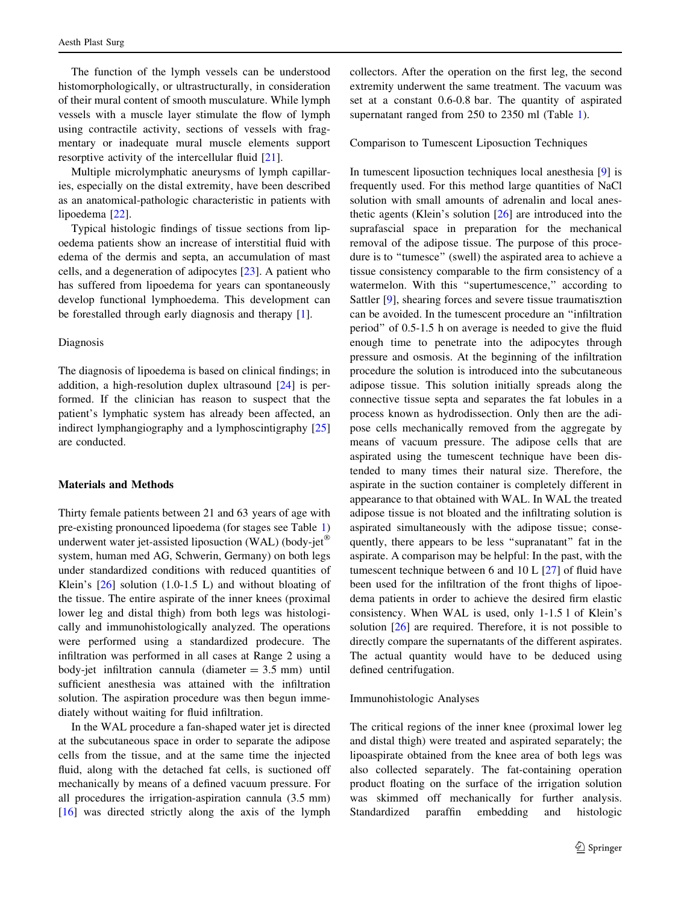The function of the lymph vessels can be understood histomorphologically, or ultrastructurally, in consideration of their mural content of smooth musculature. While lymph vessels with a muscle layer stimulate the flow of lymph using contractile activity, sections of vessels with fragmentary or inadequate mural muscle elements support resorptive activity of the intercellular fluid [[21\]](#page-9-0).

Multiple microlymphatic aneurysms of lymph capillaries, especially on the distal extremity, have been described as an anatomical-pathologic characteristic in patients with lipoedema [\[22](#page-9-0)].

Typical histologic findings of tissue sections from lipoedema patients show an increase of interstitial fluid with edema of the dermis and septa, an accumulation of mast cells, and a degeneration of adipocytes [\[23](#page-9-0)]. A patient who has suffered from lipoedema for years can spontaneously develop functional lymphoedema. This development can be forestalled through early diagnosis and therapy [[1\]](#page-8-0).

## Diagnosis

The diagnosis of lipoedema is based on clinical findings; in addition, a high-resolution duplex ultrasound [[24\]](#page-9-0) is performed. If the clinician has reason to suspect that the patient's lymphatic system has already been affected, an indirect lymphangiography and a lymphoscintigraphy [[25\]](#page-9-0) are conducted.

## Materials and Methods

Thirty female patients between 21 and 63 years of age with pre-existing pronounced lipoedema (for stages see Table [1\)](#page-3-0) underwent water jet-assisted liposuction (WAL) (body-jet $^{\circledR}$ system, human med AG, Schwerin, Germany) on both legs under standardized conditions with reduced quantities of Klein's [[26\]](#page-9-0) solution (1.0-1.5 L) and without bloating of the tissue. The entire aspirate of the inner knees (proximal lower leg and distal thigh) from both legs was histologically and immunohistologically analyzed. The operations were performed using a standardized prodecure. The infiltration was performed in all cases at Range 2 using a body-jet infiltration cannula (diameter  $= 3.5$  mm) until sufficient anesthesia was attained with the infiltration solution. The aspiration procedure was then begun immediately without waiting for fluid infiltration.

In the WAL procedure a fan-shaped water jet is directed at the subcutaneous space in order to separate the adipose cells from the tissue, and at the same time the injected fluid, along with the detached fat cells, is suctioned off mechanically by means of a defined vacuum pressure. For all procedures the irrigation-aspiration cannula (3.5 mm) [\[16](#page-9-0)] was directed strictly along the axis of the lymph collectors. After the operation on the first leg, the second extremity underwent the same treatment. The vacuum was set at a constant 0.6-0.8 bar. The quantity of aspirated supernatant ranged from 250 to 2350 ml (Table [1](#page-3-0)).

## Comparison to Tumescent Liposuction Techniques

In tumescent liposuction techniques local anesthesia [\[9](#page-8-0)] is frequently used. For this method large quantities of NaCl solution with small amounts of adrenalin and local anesthetic agents (Klein's solution [\[26](#page-9-0)] are introduced into the suprafascial space in preparation for the mechanical removal of the adipose tissue. The purpose of this procedure is to ''tumesce'' (swell) the aspirated area to achieve a tissue consistency comparable to the firm consistency of a watermelon. With this "supertumescence," according to Sattler [\[9](#page-8-0)], shearing forces and severe tissue traumatisztion can be avoided. In the tumescent procedure an ''infiltration period'' of 0.5-1.5 h on average is needed to give the fluid enough time to penetrate into the adipocytes through pressure and osmosis. At the beginning of the infiltration procedure the solution is introduced into the subcutaneous adipose tissue. This solution initially spreads along the connective tissue septa and separates the fat lobules in a process known as hydrodissection. Only then are the adipose cells mechanically removed from the aggregate by means of vacuum pressure. The adipose cells that are aspirated using the tumescent technique have been distended to many times their natural size. Therefore, the aspirate in the suction container is completely different in appearance to that obtained with WAL. In WAL the treated adipose tissue is not bloated and the infiltrating solution is aspirated simultaneously with the adipose tissue; consequently, there appears to be less ''supranatant'' fat in the aspirate. A comparison may be helpful: In the past, with the tumescent technique between 6 and 10 L [\[27](#page-9-0)] of fluid have been used for the infiltration of the front thighs of lipoedema patients in order to achieve the desired firm elastic consistency. When WAL is used, only 1-1.5 l of Klein's solution [\[26](#page-9-0)] are required. Therefore, it is not possible to directly compare the supernatants of the different aspirates. The actual quantity would have to be deduced using defined centrifugation.

#### Immunohistologic Analyses

The critical regions of the inner knee (proximal lower leg and distal thigh) were treated and aspirated separately; the lipoaspirate obtained from the knee area of both legs was also collected separately. The fat-containing operation product floating on the surface of the irrigation solution was skimmed off mechanically for further analysis. Standardized paraffin embedding and histologic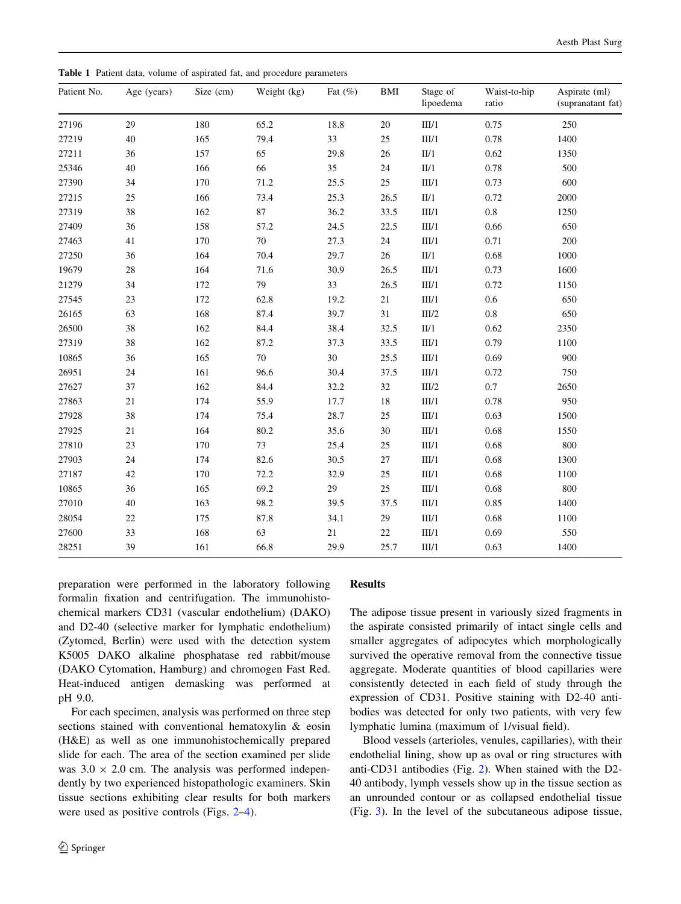| Patient No. | Age (years) | Size (cm) | Weight (kg) | Fat $(\% )$ | BMI    | Stage of<br>lipoedema | Waist-to-hip<br>ratio | Aspirate (ml)<br>(supranatant fat) |
|-------------|-------------|-----------|-------------|-------------|--------|-----------------------|-----------------------|------------------------------------|
| 27196       | 29          | 180       | 65.2        | 18.8        | 20     | III/1                 | 0.75                  | 250                                |
| 27219       | 40          | 165       | 79.4        | 33          | 25     | $\rm III/1$           | 0.78                  | 1400                               |
| 27211       | 36          | 157       | 65          | 29.8        | 26     | II/1                  | 0.62                  | 1350                               |
| 25346       | 40          | 166       | 66          | 35          | 24     | $\rm{II}/1$           | 0.78                  | 500                                |
| 27390       | 34          | 170       | 71.2        | 25.5        | 25     | III/1                 | 0.73                  | 600                                |
| 27215       | 25          | 166       | 73.4        | 25.3        | 26.5   | ${\rm II}/1$          | 0.72                  | 2000                               |
| 27319       | 38          | 162       | 87          | 36.2        | 33.5   | III/1                 | $0.8\,$               | 1250                               |
| 27409       | 36          | 158       | 57.2        | 24.5        | 22.5   | III/1                 | 0.66                  | 650                                |
| 27463       | 41          | 170       | 70          | 27.3        | 24     | III/1                 | 0.71                  | 200                                |
| 27250       | 36          | 164       | 70.4        | 29.7        | 26     | $\rm{II}/1$           | 0.68                  | 1000                               |
| 19679       | 28          | 164       | 71.6        | 30.9        | 26.5   | $\rm III/1$           | 0.73                  | 1600                               |
| 21279       | 34          | 172       | 79          | 33          | 26.5   | III/1                 | 0.72                  | 1150                               |
| 27545       | 23          | 172       | 62.8        | 19.2        | 21     | III/1                 | 0.6                   | 650                                |
| 26165       | 63          | 168       | 87.4        | 39.7        | 31     | III/2                 | 0.8                   | 650                                |
| 26500       | 38          | 162       | 84.4        | 38.4        | 32.5   | $\rm{II}/1$           | 0.62                  | 2350                               |
| 27319       | 38          | 162       | 87.2        | 37.3        | 33.5   | $\rm III/1$           | 0.79                  | 1100                               |
| 10865       | 36          | 165       | 70          | 30          | 25.5   | III/1                 | 0.69                  | 900                                |
| 26951       | 24          | 161       | 96.6        | 30.4        | 37.5   | III/1                 | 0.72                  | 750                                |
| 27627       | 37          | 162       | 84.4        | 32.2        | 32     | III/2                 | 0.7                   | 2650                               |
| 27863       | 21          | 174       | 55.9        | 17.7        | 18     | $\rm III/1$           | 0.78                  | 950                                |
| 27928       | 38          | 174       | 75.4        | 28.7        | $25\,$ | $\rm III/1$           | 0.63                  | 1500                               |
| 27925       | 21          | 164       | 80.2        | 35.6        | 30     | III/1                 | 0.68                  | 1550                               |
| 27810       | 23          | 170       | 73          | 25.4        | $25\,$ | III/1                 | 0.68                  | 800                                |
| 27903       | 24          | 174       | 82.6        | 30.5        | 27     | $\rm III/1$           | 0.68                  | 1300                               |
| 27187       | 42          | 170       | 72.2        | 32.9        | 25     | $\rm III/1$           | 0.68                  | 1100                               |
| 10865       | 36          | 165       | 69.2        | 29          | $25\,$ | III/1                 | 0.68                  | 800                                |
| 27010       | 40          | 163       | 98.2        | 39.5        | 37.5   | III/1                 | 0.85                  | 1400                               |
| 28054       | 22          | 175       | 87.8        | 34.1        | 29     | $\rm III/1$           | 0.68                  | 1100                               |
| 27600       | 33          | 168       | 63          | 21          | $22\,$ | III/1                 | 0.69                  | 550                                |
| 28251       | 39          | 161       | 66.8        | 29.9        | 25.7   | $\rm III/1$           | 0.63                  | 1400                               |

<span id="page-3-0"></span>Table 1 Patient data, volume of aspirated fat, and procedure parameters

preparation were performed in the laboratory following formalin fixation and centrifugation. The immunohistochemical markers CD31 (vascular endothelium) (DAKO) and D2-40 (selective marker for lymphatic endothelium) (Zytomed, Berlin) were used with the detection system K5005 DAKO alkaline phosphatase red rabbit/mouse (DAKO Cytomation, Hamburg) and chromogen Fast Red. Heat-induced antigen demasking was performed at pH 9.0.

For each specimen, analysis was performed on three step sections stained with conventional hematoxylin & eosin (H&E) as well as one immunohistochemically prepared slide for each. The area of the section examined per slide was  $3.0 \times 2.0$  cm. The analysis was performed independently by two experienced histopathologic examiners. Skin tissue sections exhibiting clear results for both markers were used as positive controls (Figs. [2–4\)](#page-4-0).

## Results

The adipose tissue present in variously sized fragments in the aspirate consisted primarily of intact single cells and smaller aggregates of adipocytes which morphologically survived the operative removal from the connective tissue aggregate. Moderate quantities of blood capillaries were consistently detected in each field of study through the expression of CD31. Positive staining with D2-40 antibodies was detected for only two patients, with very few lymphatic lumina (maximum of 1/visual field).

Blood vessels (arterioles, venules, capillaries), with their endothelial lining, show up as oval or ring structures with anti-CD31 antibodies (Fig. [2\)](#page-4-0). When stained with the D2- 40 antibody, lymph vessels show up in the tissue section as an unrounded contour or as collapsed endothelial tissue (Fig. [3\)](#page-4-0). In the level of the subcutaneous adipose tissue,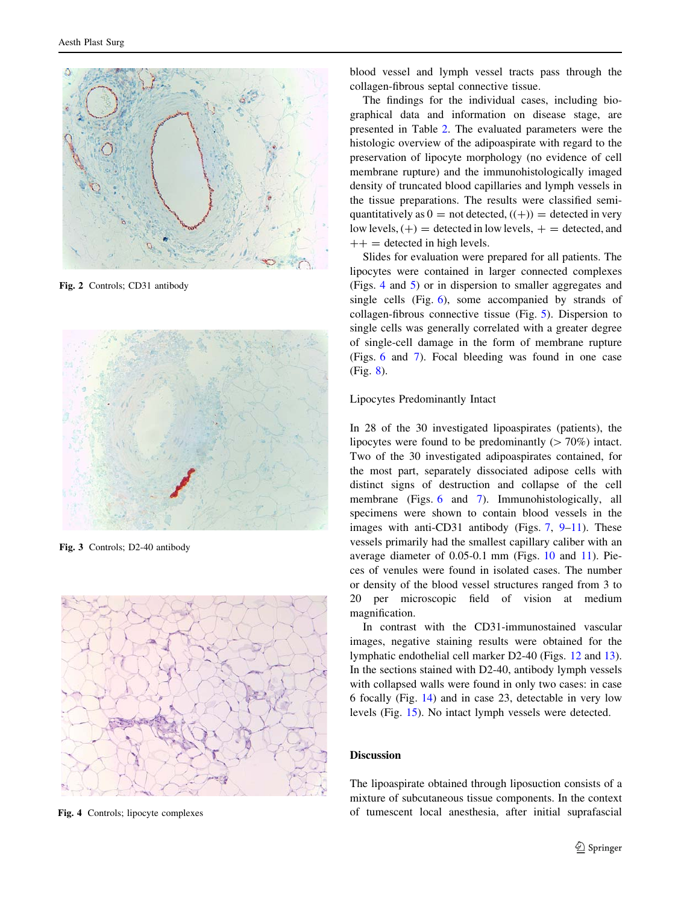<span id="page-4-0"></span>

Fig. 2 Controls; CD31 antibody



Fig. 3 Controls; D2-40 antibody



Fig. 4 Controls; lipocyte complexes

blood vessel and lymph vessel tracts pass through the collagen-fibrous septal connective tissue.

The findings for the individual cases, including biographical data and information on disease stage, are presented in Table [2.](#page-5-0) The evaluated parameters were the histologic overview of the adipoaspirate with regard to the preservation of lipocyte morphology (no evidence of cell membrane rupture) and the immunohistologically imaged density of truncated blood capillaries and lymph vessels in the tissue preparations. The results were classified semiquantitatively as  $0 =$  not detected,  $((+) ) =$  detected in very low levels,  $(+)$  = detected in low levels,  $+$  = detected, and  $++$  = detected in high levels.

Slides for evaluation were prepared for all patients. The lipocytes were contained in larger connected complexes (Figs. 4 and [5](#page-6-0)) or in dispersion to smaller aggregates and single cells (Fig. [6\)](#page-6-0), some accompanied by strands of collagen-fibrous connective tissue (Fig. [5](#page-6-0)). Dispersion to single cells was generally correlated with a greater degree of single-cell damage in the form of membrane rupture (Figs. [6](#page-6-0) and [7](#page-6-0)). Focal bleeding was found in one case (Fig. [8\)](#page-6-0).

## Lipocytes Predominantly Intact

In 28 of the 30 investigated lipoaspirates (patients), the lipocytes were found to be predominantly  $($   $> 70\%)$  intact. Two of the 30 investigated adipoaspirates contained, for the most part, separately dissociated adipose cells with distinct signs of destruction and collapse of the cell membrane (Figs. [6](#page-6-0) and [7](#page-6-0)). Immunohistologically, all specimens were shown to contain blood vessels in the images with anti-CD31 antibody (Figs. [7,](#page-6-0) [9](#page-6-0)[–11](#page-7-0)). These vessels primarily had the smallest capillary caliber with an average diameter of 0.05-0.1 mm (Figs. [10](#page-6-0) and [11](#page-7-0)). Pieces of venules were found in isolated cases. The number or density of the blood vessel structures ranged from 3 to 20 per microscopic field of vision at medium magnification.

In contrast with the CD31-immunostained vascular images, negative staining results were obtained for the lymphatic endothelial cell marker D2-40 (Figs. [12](#page-7-0) and [13](#page-7-0)). In the sections stained with D2-40, antibody lymph vessels with collapsed walls were found in only two cases: in case 6 focally (Fig. [14\)](#page-7-0) and in case 23, detectable in very low levels (Fig. [15](#page-7-0)). No intact lymph vessels were detected.

#### Discussion

The lipoaspirate obtained through liposuction consists of a mixture of subcutaneous tissue components. In the context of tumescent local anesthesia, after initial suprafascial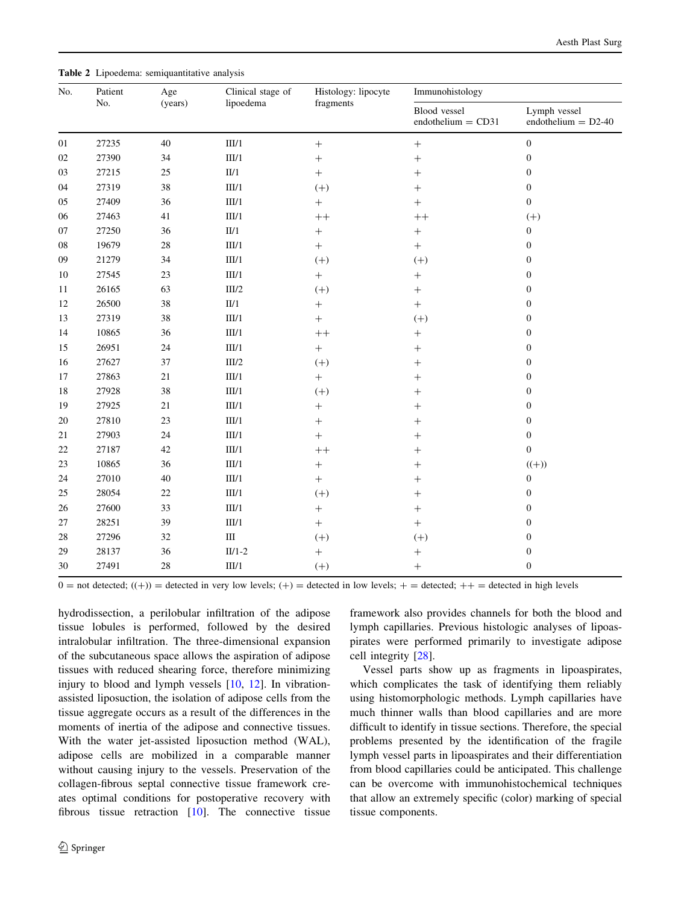| No.    | Patient | Age     | Clinical stage of | Histology: lipocyte | Immunohistology                      |                                       |  |
|--------|---------|---------|-------------------|---------------------|--------------------------------------|---------------------------------------|--|
|        | No.     | (years) | lipoedema         | fragments           | Blood vessel<br>$endothelium = CD31$ | Lymph vessel<br>endothelium = $D2-40$ |  |
| 01     | 27235   | 40      | $\rm III/1$       |                     | $\! + \!$                            | $\boldsymbol{0}$                      |  |
| 02     | 27390   | 34      | $\rm III/1$       | $\! +$              | $\! + \!$                            | $\boldsymbol{0}$                      |  |
| 03     | 27215   | 25      | $\rm{II}/1$       | $\ddot{}$           | $^{+}$                               | $\boldsymbol{0}$                      |  |
| 04     | 27319   | 38      | $\rm III/1$       | $(+)$               | $+$                                  | $\boldsymbol{0}$                      |  |
| 05     | 27409   | 36      | III/1             | $\! +$              | $\boldsymbol{+}$                     | $\boldsymbol{0}$                      |  |
| 06     | 27463   | 41      | III/1             | $++$                | $++$                                 | $(+)$                                 |  |
| $07\,$ | 27250   | 36      | $\rm{II}/1$       | $\boldsymbol{+}$    | $\boldsymbol{+}$                     | $\boldsymbol{0}$                      |  |
| 08     | 19679   | 28      | $\rm III/1$       | $\! +$              | $\boldsymbol{+}$                     | $\boldsymbol{0}$                      |  |
| 09     | 21279   | 34      | III/1             | $(+)$               | $(+)$                                | $\boldsymbol{0}$                      |  |
| 10     | 27545   | 23      | III/1             | $^{+}$              | $^{+}$                               | $\boldsymbol{0}$                      |  |
| 11     | 26165   | 63      | III/2             | $(+)$               | $+$                                  | $\boldsymbol{0}$                      |  |
| 12     | 26500   | 38      | II/1              | $+$                 | $^{+}$                               | $\overline{0}$                        |  |
| 13     | 27319   | 38      | $\rm III/1$       | $\! +$              | $(+)$                                | $\boldsymbol{0}$                      |  |
| 14     | 10865   | 36      | $\rm III/1$       | $\boldsymbol{++}$   | $\! + \!$                            | $\boldsymbol{0}$                      |  |
| 15     | 26951   | 24      | III/1             | $\! + \!$           | $\! + \!$                            | $\boldsymbol{0}$                      |  |
| 16     | 27627   | 37      | III/2             | $(+)$               | $^{+}$                               | $\boldsymbol{0}$                      |  |
| 17     | 27863   | 21      | III/1             | $^{+}$              | $+$                                  | $\boldsymbol{0}$                      |  |
| 18     | 27928   | 38      | III/1             | $(+)$               | $^{+}$                               | $\boldsymbol{0}$                      |  |
| 19     | 27925   | 21      | $\rm III/1$       | $\! +$              | $+$                                  | $\boldsymbol{0}$                      |  |
| $20\,$ | 27810   | 23      | $\rm III/1$       | $\! +$              | $^{+}$                               | $\boldsymbol{0}$                      |  |
| 21     | 27903   | 24      | $\rm III/1$       | $\! +$              | $^{+}$                               | $\boldsymbol{0}$                      |  |
| 22     | 27187   | 42      | III/1             | $++$                | $^{+}$                               | $\boldsymbol{0}$                      |  |
| 23     | 10865   | 36      | III/1             | $^{+}$              | $^{+}$                               | $((+)$                                |  |
| 24     | 27010   | 40      | III/1             | $+$                 | $^{+}$                               | $\boldsymbol{0}$                      |  |
| 25     | 28054   | 22      | III/1             | $(+)$               | $^{+}$                               | $\overline{0}$                        |  |
| 26     | 27600   | 33      | $\rm III/1$       | $\! + \!$           | $\! + \!$                            | $\boldsymbol{0}$                      |  |
| 27     | 28251   | 39      | $\rm III/1$       | $\ddot{}$           | $\! + \!$                            | $\boldsymbol{0}$                      |  |
| $28\,$ | 27296   | 32      | $\rm III$         | $(+)$               | $(+)$                                | $\boldsymbol{0}$                      |  |
| 29     | 28137   | 36      | $II/1-2$          | $\! +$              | $+$                                  | $\mathbf{0}$                          |  |
| 30     | 27491   | 28      | $\rm III/1$       | $(+)$               | $+$                                  | $\boldsymbol{0}$                      |  |

<span id="page-5-0"></span>Table 2 Lipoedema: semiquantitative analysis

 $0 =$  not detected;  $((+)) =$  detected in very low levels;  $(+) =$  detected in low levels;  $+ =$  detected;  $++ =$  detected in high levels

hydrodissection, a perilobular infiltration of the adipose tissue lobules is performed, followed by the desired intralobular infiltration. The three-dimensional expansion of the subcutaneous space allows the aspiration of adipose tissues with reduced shearing force, therefore minimizing injury to blood and lymph vessels [\[10](#page-8-0), [12\]](#page-9-0). In vibrationassisted liposuction, the isolation of adipose cells from the tissue aggregate occurs as a result of the differences in the moments of inertia of the adipose and connective tissues. With the water jet-assisted liposuction method (WAL), adipose cells are mobilized in a comparable manner without causing injury to the vessels. Preservation of the collagen-fibrous septal connective tissue framework creates optimal conditions for postoperative recovery with fibrous tissue retraction  $[10]$  $[10]$ . The connective tissue framework also provides channels for both the blood and lymph capillaries. Previous histologic analyses of lipoaspirates were performed primarily to investigate adipose cell integrity [\[28\]](#page-9-0).

Vessel parts show up as fragments in lipoaspirates, which complicates the task of identifying them reliably using histomorphologic methods. Lymph capillaries have much thinner walls than blood capillaries and are more difficult to identify in tissue sections. Therefore, the special problems presented by the identification of the fragile lymph vessel parts in lipoaspirates and their differentiation from blood capillaries could be anticipated. This challenge can be overcome with immunohistochemical techniques that allow an extremely specific (color) marking of special tissue components.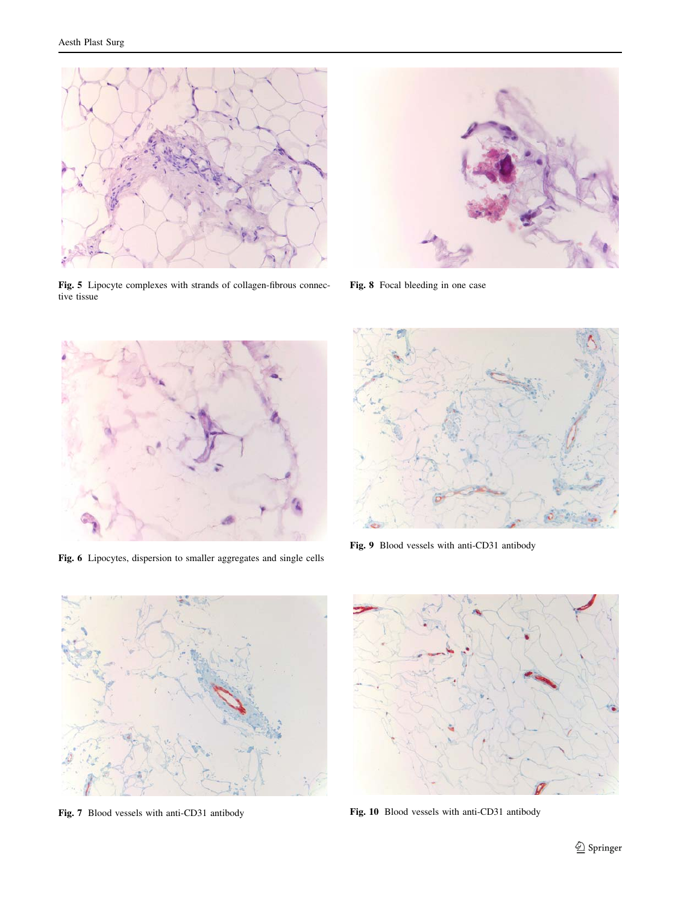<span id="page-6-0"></span>

Fig. 5 Lipocyte complexes with strands of collagen-fibrous connective tissue



Fig. 8 Focal bleeding in one case



Fig. 6 Lipocytes, dispersion to smaller aggregates and single cells



Fig. 9 Blood vessels with anti-CD31 antibody



Fig. 7 Blood vessels with anti-CD31 antibody



Fig. 10 Blood vessels with anti-CD31 antibody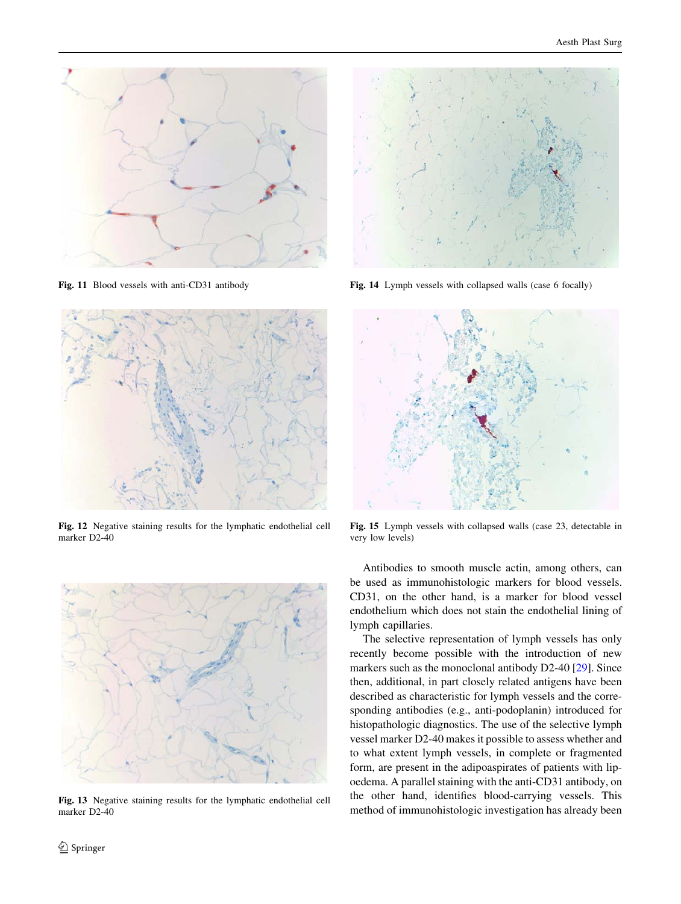<span id="page-7-0"></span>

Fig. 11 Blood vessels with anti-CD31 antibody



Fig. 12 Negative staining results for the lymphatic endothelial cell marker D<sub>2-40</sub>



Fig. 13 Negative staining results for the lymphatic endothelial cell marker D2-40



Fig. 14 Lymph vessels with collapsed walls (case 6 focally)



Fig. 15 Lymph vessels with collapsed walls (case 23, detectable in very low levels)

Antibodies to smooth muscle actin, among others, can be used as immunohistologic markers for blood vessels. CD31, on the other hand, is a marker for blood vessel endothelium which does not stain the endothelial lining of lymph capillaries.

The selective representation of lymph vessels has only recently become possible with the introduction of new markers such as the monoclonal antibody D2-40 [[29\]](#page-9-0). Since then, additional, in part closely related antigens have been described as characteristic for lymph vessels and the corresponding antibodies (e.g., anti-podoplanin) introduced for histopathologic diagnostics. The use of the selective lymph vessel marker D2-40 makes it possible to assess whether and to what extent lymph vessels, in complete or fragmented form, are present in the adipoaspirates of patients with lipoedema. A parallel staining with the anti-CD31 antibody, on the other hand, identifies blood-carrying vessels. This method of immunohistologic investigation has already been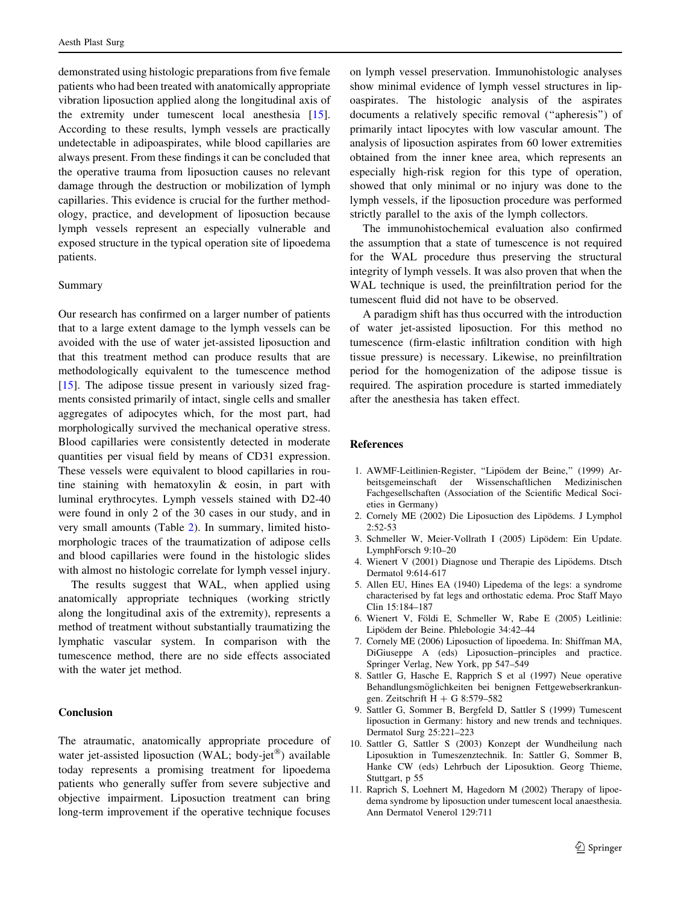<span id="page-8-0"></span>demonstrated using histologic preparations from five female patients who had been treated with anatomically appropriate vibration liposuction applied along the longitudinal axis of the extremity under tumescent local anesthesia [\[15](#page-9-0)]. According to these results, lymph vessels are practically undetectable in adipoaspirates, while blood capillaries are always present. From these findings it can be concluded that the operative trauma from liposuction causes no relevant damage through the destruction or mobilization of lymph capillaries. This evidence is crucial for the further methodology, practice, and development of liposuction because lymph vessels represent an especially vulnerable and exposed structure in the typical operation site of lipoedema patients.

## Summary

Our research has confirmed on a larger number of patients that to a large extent damage to the lymph vessels can be avoided with the use of water jet-assisted liposuction and that this treatment method can produce results that are methodologically equivalent to the tumescence method  $[15]$  $[15]$ . The adipose tissue present in variously sized fragments consisted primarily of intact, single cells and smaller aggregates of adipocytes which, for the most part, had morphologically survived the mechanical operative stress. Blood capillaries were consistently detected in moderate quantities per visual field by means of CD31 expression. These vessels were equivalent to blood capillaries in routine staining with hematoxylin & eosin, in part with luminal erythrocytes. Lymph vessels stained with D2-40 were found in only 2 of the 30 cases in our study, and in very small amounts (Table [2\)](#page-5-0). In summary, limited histomorphologic traces of the traumatization of adipose cells and blood capillaries were found in the histologic slides with almost no histologic correlate for lymph vessel injury.

The results suggest that WAL, when applied using anatomically appropriate techniques (working strictly along the longitudinal axis of the extremity), represents a method of treatment without substantially traumatizing the lymphatic vascular system. In comparison with the tumescence method, there are no side effects associated with the water jet method.

## Conclusion

The atraumatic, anatomically appropriate procedure of water jet-assisted liposuction (WAL; body-jet®) available today represents a promising treatment for lipoedema patients who generally suffer from severe subjective and objective impairment. Liposuction treatment can bring long-term improvement if the operative technique focuses on lymph vessel preservation. Immunohistologic analyses show minimal evidence of lymph vessel structures in lipoaspirates. The histologic analysis of the aspirates documents a relatively specific removal (''apheresis'') of primarily intact lipocytes with low vascular amount. The analysis of liposuction aspirates from 60 lower extremities obtained from the inner knee area, which represents an especially high-risk region for this type of operation, showed that only minimal or no injury was done to the lymph vessels, if the liposuction procedure was performed strictly parallel to the axis of the lymph collectors.

The immunohistochemical evaluation also confirmed the assumption that a state of tumescence is not required for the WAL procedure thus preserving the structural integrity of lymph vessels. It was also proven that when the WAL technique is used, the preinfiltration period for the tumescent fluid did not have to be observed.

A paradigm shift has thus occurred with the introduction of water jet-assisted liposuction. For this method no tumescence (firm-elastic infiltration condition with high tissue pressure) is necessary. Likewise, no preinfiltration period for the homogenization of the adipose tissue is required. The aspiration procedure is started immediately after the anesthesia has taken effect.

#### References

- 1. AWMF-Leitlinien-Register, "Lipödem der Beine," (1999) Arbeitsgemeinschaft der Wissenschaftlichen Medizinischen Fachgesellschaften (Association of the Scientific Medical Societies in Germany)
- 2. Cornely ME (2002) Die Liposuction des Lipödems. J Lymphol 2:52-53
- 3. Schmeller W, Meier-Vollrath I (2005) Lipödem: Ein Update. LymphForsch 9:10–20
- 4. Wienert V (2001) Diagnose und Therapie des Lipödems. Dtsch Dermatol 9:614-617
- 5. Allen EU, Hines EA (1940) Lipedema of the legs: a syndrome characterised by fat legs and orthostatic edema. Proc Staff Mayo Clin 15:184–187
- 6. Wienert V, Földi E, Schmeller W, Rabe E (2005) Leitlinie: Lipödem der Beine. Phlebologie 34:42-44
- 7. Cornely ME (2006) Liposuction of lipoedema. In: Shiffman MA, DiGiuseppe A (eds) Liposuction–principles and practice. Springer Verlag, New York, pp 547–549
- 8. Sattler G, Hasche E, Rapprich S et al (1997) Neue operative Behandlungsmöglichkeiten bei benignen Fettgewebserkrankungen. Zeitschrift H + G 8:579-582
- 9. Sattler G, Sommer B, Bergfeld D, Sattler S (1999) Tumescent liposuction in Germany: history and new trends and techniques. Dermatol Surg 25:221–223
- 10. Sattler G, Sattler S (2003) Konzept der Wundheilung nach Liposuktion in Tumeszenztechnik. In: Sattler G, Sommer B, Hanke CW (eds) Lehrbuch der Liposuktion. Georg Thieme, Stuttgart, p 55
- 11. Raprich S, Loehnert M, Hagedorn M (2002) Therapy of lipoedema syndrome by liposuction under tumescent local anaesthesia. Ann Dermatol Venerol 129:711